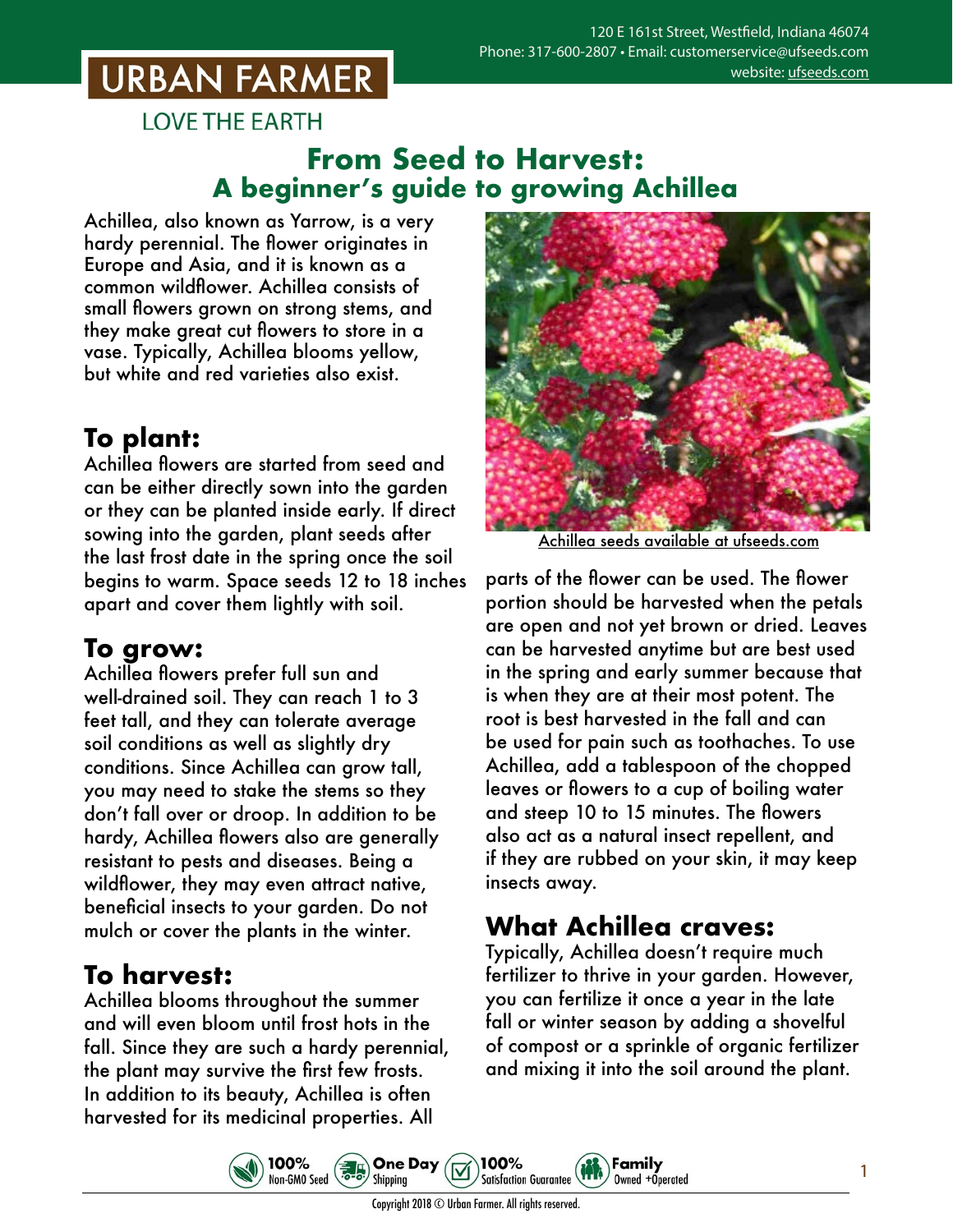# **URBAN FARMER**

**LOVE THE EARTH** 

#### **From Seed to Harvest: A beginner's guide to growing Achillea**

Achillea, also known as Yarrow, is a very hardy perennial. The flower originates in Europe and Asia, and it is known as a common wildflower. Achillea consists of small flowers grown on strong stems, and they make great cut flowers to store in a vase. Typically, Achillea blooms yellow, but white and red varieties also exist.

## **To plant:**

Achillea flowers are started from seed and can be either directly sown into the garden or they can be planted inside early. If direct sowing into the garden, plant seeds after the last frost date in the spring once the soil begins to warm. Space seeds 12 to 18 inches apart and cover them lightly with soil.

#### **To grow:**

Achillea flowers prefer full sun and well-drained soil. They can reach 1 to 3 feet tall, and they can tolerate average soil conditions as well as slightly dry conditions. Since Achillea can grow tall, you may need to stake the stems so they don't fall over or droop. In addition to be hardy, Achillea flowers also are generally resistant to pests and diseases. Being a wildflower, they may even attract native, beneficial insects to your garden. Do not mulch or cover the plants in the winter.

### **To harvest:**

Achillea blooms throughout the summer and will even bloom until frost hots in the fall. Since they are such a hardy perennial, the plant may survive the first few frosts. In addition to its beauty, Achillea is often harvested for its medicinal properties. All

100%

Non-GMO Seed



Achillea seeds [available at ufseeds.com](https://www.ufseeds.com/product-category/flowers/achillea/)

parts of the flower can be used. The flower portion should be harvested when the petals are open and not yet brown or dried. Leaves can be harvested anytime but are best used in the spring and early summer because that is when they are at their most potent. The root is best harvested in the fall and can be used for pain such as toothaches. To use Achillea, add a tablespoon of the chopped leaves or flowers to a cup of boiling water and steep 10 to 15 minutes. The flowers also act as a natural insect repellent, and if they are rubbed on your skin, it may keep insects away.

### **What Achillea craves:**

Family

Owned +Operated

Typically, Achillea doesn't require much fertilizer to thrive in your garden. However, you can fertilize it once a year in the late fall or winter season by adding a shovelful of compost or a sprinkle of organic fertilizer and mixing it into the soil around the plant.



**One Day** 

Shipping

 $\left(\frac{1}{6}g\right)$ 

100%

**Satisfaction Guarantee**